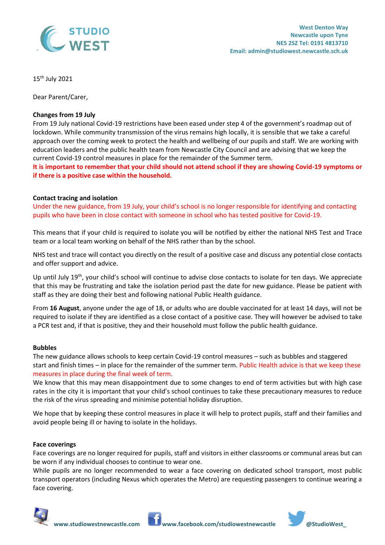

15th July 2021

Dear Parent/Carer,

#### **Changes from 19 July**

From 19 July national Covid-19 restrictions have been eased under step 4 of the government's roadmap out of lockdown. While community transmission of the virus remains high locally, it is sensible that we take a careful approach over the coming week to protect the health and wellbeing of our pupils and staff. We are working with education leaders and the public health team from Newcastle City Council and are advising that we keep the current Covid-19 control measures in place for the remainder of the Summer term.

**It is important to remember that your child should not attend school if they are showing Covid-19 symptoms or if there is a positive case within the household.**

#### **Contact tracing and isolation**

Under the new guidance, from 19 July, your child's school is no longer responsible for identifying and contacting pupils who have been in close contact with someone in school who has tested positive for Covid-19.

This means that if your child is required to isolate you will be notified by either the national NHS Test and Trace team or a local team working on behalf of the NHS rather than by the school.

NHS test and trace will contact you directly on the result of a positive case and discuss any potential close contacts and offer support and advice.

Up until July 19<sup>th</sup>, your child's school will continue to advise close contacts to isolate for ten days. We appreciate that this may be frustrating and take the isolation period past the date for new guidance. Please be patient with staff as they are doing their best and following national Public Health guidance.

From **16 August**, anyone under the age of 18, or adults who are double vaccinated for at least 14 days, will not be required to isolate if they are identified as a close contact of a positive case. They will however be advised to take a PCR test and, if that is positive, they and their household must follow the public health guidance.

#### **Bubbles**

The new guidance allows schools to keep certain Covid-19 control measures – such as bubbles and staggered start and finish times – in place for the remainder of the summer term. Public Health advice is that we keep these measures in place during the final week of term.

We know that this may mean disappointment due to some changes to end of term activities but with high case rates in the city it is important that your child's school continues to take these precautionary measures to reduce the risk of the virus spreading and minimise potential holiday disruption.

We hope that by keeping these control measures in place it will help to protect pupils, staff and their families and avoid people being ill or having to isolate in the holidays.

#### **Face coverings**

Face coverings are no longer required for pupils, staff and visitors in either classrooms or communal areas but can be worn if any individual chooses to continue to wear one.

While pupils are no longer recommended to wear a face covering on dedicated school transport, most public transport operators (including Nexus which operates the Metro) are requesting passengers to continue wearing a face covering.





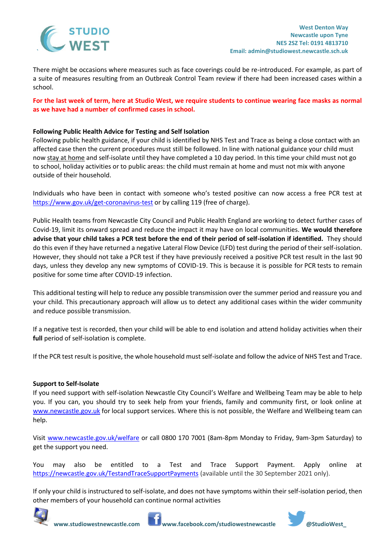

There might be occasions where measures such as face coverings could be re-introduced. For example, as part of a suite of measures resulting from an Outbreak Control Team review if there had been increased cases within a school.

**For the last week of term, here at Studio West, we require students to continue wearing face masks as normal as we have had a number of confirmed cases in school.**

# **Following Public Health Advice for Testing and Self Isolation**

Following public health guidance, if your child is identified by NHS Test and Trace as being a close contact with an affected case then the current procedures must still be followed. In line with national guidance your child must now stay at home and self-isolate until they have completed a 10 day period. In this time your child must not go to school, holiday activities or to public areas: the child must remain at home and must not mix with anyone outside of their household.

Individuals who have been in contact with someone who's tested positive can now access a free PCR test at <https://www.gov.uk/get-coronavirus-test> or by calling 119 (free of charge).

Public Health teams from Newcastle City Council and Public Health England are working to detect further cases of Covid-19, limit its onward spread and reduce the impact it may have on local communities. **We would therefore advise that your child takes a PCR test before the end of their period of self-isolation if identified.** They should do this even if they have returned a negative Lateral Flow Device (LFD) test during the period of their self-isolation. However, they should not take a PCR test if they have previously received a positive PCR test result in the last 90 days, unless they develop any new symptoms of COVID-19. This is because it is possible for PCR tests to remain positive for some time after COVID-19 infection.

This additional testing will help to reduce any possible transmission over the summer period and reassure you and your child. This precautionary approach will allow us to detect any additional cases within the wider community and reduce possible transmission.

If a negative test is recorded, then your child will be able to end isolation and attend holiday activities when their **full** period of self-isolation is complete.

If the PCR test result is positive, the whole household must self-isolate and follow the advice of NHS Test and Trace.

# **Support to Self-Isolate**

If you need support with self-isolation Newcastle City Council's Welfare and Wellbeing Team may be able to help you. If you can, you should try to seek help from your friends, family and community first, or look online at [www.newcastle.gov.uk](http://www.newcastle.gov.uk/) for local support services. Where this is not possible, the Welfare and Wellbeing team can help.

Visit [www.newcastle.gov.uk/welfare](http://www.newcastle.gov.uk/welfarei) or call 0800 170 7001 (8am-8pm Monday to Friday, 9am-3pm Saturday) to get the support you need.

You may also be entitled to a Test and Trace Support Payment. Apply online at <https://newcastle.gov.uk/TestandTraceSupportPayments> (available until the 30 September 2021 only).

If only your child is instructured to self-isolate, and does not have symptoms within their self-isolation period, then other members of your household can continue normal activities



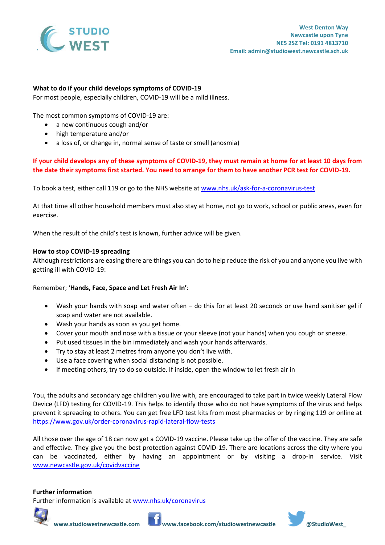

# **What to do if your child develops symptoms of COVID-19**

For most people, especially children, COVID-19 will be a mild illness.

The most common symptoms of COVID-19 are:

- a new continuous cough and/or
- high temperature and/or
- a loss of, or change in, normal sense of taste or smell (anosmia)

# **If your child develops any of these symptoms of COVID-19, they must remain at home for at least 10 days from the date their symptoms first started. You need to arrange for them to have another PCR test for COVID-19.**

To book a test, either call 119 or go to the NHS website at [www.nhs.uk/ask-for-a-coronavirus-test](https://www.nhs.uk/ask-for-a-coronavirus-test) 

At that time all other household members must also stay at home, not go to work, school or public areas, even for exercise.

When the result of the child's test is known, further advice will be given.

#### **How to stop COVID-19 spreading**

Although restrictions are easing there are things you can do to help reduce the risk of you and anyone you live with getting ill with COVID-19:

# Remember; '**Hands, Face, Space and Let Fresh Air In'**:

- Wash your hands with soap and water often do this for at least 20 seconds or use hand sanitiser gel if soap and water are not available.
- Wash your hands as soon as you get home.
- Cover your mouth and nose with a tissue or your sleeve (not your hands) when you cough or sneeze.
- Put used tissues in the bin immediately and wash your hands afterwards.
- Try to stay at least 2 metres from anyone you don't live with.
- Use a face covering when social distancing is not possible.
- If meeting others, try to do so outside. If inside, open the window to let fresh air in

You, the adults and secondary age children you live with, are encouraged to take part in twice weekly Lateral Flow Device (LFD) testing for COVID-19. This helps to identify those who do not have symptoms of the virus and helps prevent it spreading to others. You can get free LFD test kits from most pharmacies or by ringing 119 or online at <https://www.gov.uk/order-coronavirus-rapid-lateral-flow-tests>

All those over the age of 18 can now get a COVID-19 vaccine. Please take up the offer of the vaccine. They are safe and effective. They give you the best protection against COVID-19. There are locations across the city where you can be vaccinated, either by having an appointment or by visiting a drop-in service. Visit [www.newcastle.gov.uk/covidvaccine](http://www.newcastle.gov.uk/covidvaccine)

# **Further information**

Further information is available at [www.nhs.uk/coronavirus](http://www.nhs.uk/coronavirus)